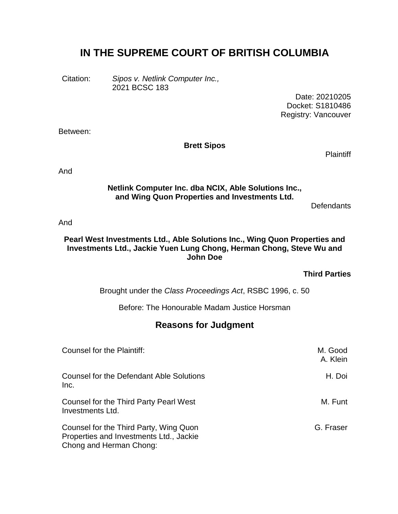# **IN THE SUPREME COURT OF BRITISH COLUMBIA**

Citation: *Sipos v. Netlink Computer Inc.,* 2021 BCSC 183

> Date: 20210205 Docket: S1810486 Registry: Vancouver

Between:

#### **Brett Sipos**

**Plaintiff** 

And

#### **Netlink Computer Inc. dba NCIX, Able Solutions Inc., and Wing Quon Properties and Investments Ltd.**

**Defendants** 

And

#### **Pearl West Investments Ltd., Able Solutions Inc., Wing Quon Properties and Investments Ltd., Jackie Yuen Lung Chong, Herman Chong, Steve Wu and John Doe**

#### **Third Parties**

Brought under the *Class Proceedings Act*, RSBC 1996, c. 50

Before: The Honourable Madam Justice Horsman

### **Reasons for Judgment**

| Counsel for the Plaintiff:                                                                                   | M. Good<br>A. Klein |
|--------------------------------------------------------------------------------------------------------------|---------------------|
| Counsel for the Defendant Able Solutions<br>Inc.                                                             | H. Doi              |
| Counsel for the Third Party Pearl West<br>Investments Ltd.                                                   | M. Funt             |
| Counsel for the Third Party, Wing Quon<br>Properties and Investments Ltd., Jackie<br>Chong and Herman Chong: | G. Fraser           |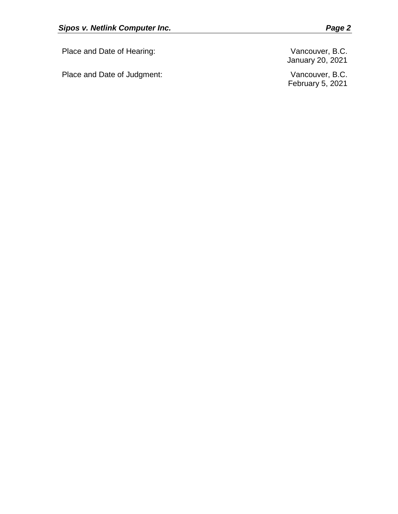Place and Date of Hearing: Vancouver, B.C.

Place and Date of Judgment: Vancouver, B.C.

January 20, 2021

February 5, 2021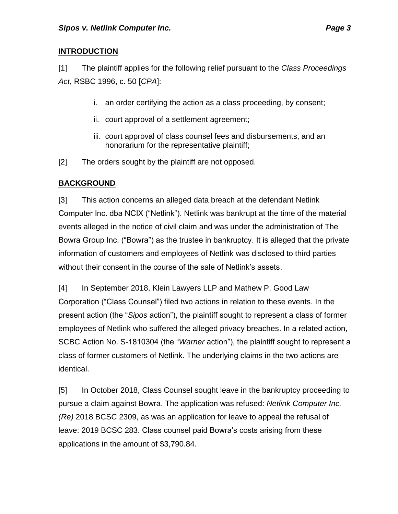## **INTRODUCTION**

[1] The plaintiff applies for the following relief pursuant to the *Class Proceedings Act*, RSBC 1996, c. 50 [*CPA*]:

- i. an order certifying the action as a class proceeding, by consent;
- ii. court approval of a settlement agreement;
- iii. court approval of class counsel fees and disbursements, and an honorarium for the representative plaintiff;
- [2] The orders sought by the plaintiff are not opposed.

## **BACKGROUND**

[3] This action concerns an alleged data breach at the defendant Netlink Computer Inc. dba NCIX ("Netlink"). Netlink was bankrupt at the time of the material events alleged in the notice of civil claim and was under the administration of The Bowra Group Inc. ("Bowra") as the trustee in bankruptcy. It is alleged that the private information of customers and employees of Netlink was disclosed to third parties without their consent in the course of the sale of Netlink's assets.

[4] In September 2018, Klein Lawyers LLP and Mathew P. Good Law Corporation ("Class Counsel") filed two actions in relation to these events. In the present action (the "*Sipos* action"), the plaintiff sought to represent a class of former employees of Netlink who suffered the alleged privacy breaches. In a related action, SCBC Action No. S-1810304 (the "*Warner* action"), the plaintiff sought to represent a class of former customers of Netlink. The underlying claims in the two actions are identical.

[5] In October 2018, Class Counsel sought leave in the bankruptcy proceeding to pursue a claim against Bowra. The application was refused: *Netlink Computer Inc. (Re)* 2018 BCSC 2309, as was an application for leave to appeal the refusal of leave: 2019 BCSC 283. Class counsel paid Bowra's costs arising from these applications in the amount of \$3,790.84.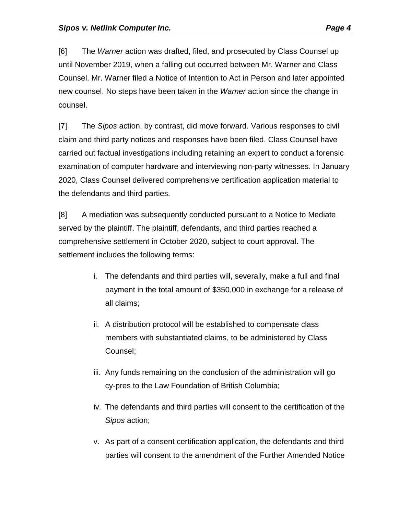[6] The *Warner* action was drafted, filed, and prosecuted by Class Counsel up until November 2019, when a falling out occurred between Mr. Warner and Class Counsel. Mr. Warner filed a Notice of Intention to Act in Person and later appointed new counsel. No steps have been taken in the *Warner* action since the change in counsel.

[7] The *Sipos* action, by contrast, did move forward. Various responses to civil claim and third party notices and responses have been filed. Class Counsel have carried out factual investigations including retaining an expert to conduct a forensic examination of computer hardware and interviewing non-party witnesses. In January 2020, Class Counsel delivered comprehensive certification application material to the defendants and third parties.

[8] A mediation was subsequently conducted pursuant to a Notice to Mediate served by the plaintiff. The plaintiff, defendants, and third parties reached a comprehensive settlement in October 2020, subject to court approval. The settlement includes the following terms:

- i. The defendants and third parties will, severally, make a full and final payment in the total amount of \$350,000 in exchange for a release of all claims;
- ii. A distribution protocol will be established to compensate class members with substantiated claims, to be administered by Class Counsel;
- iii. Any funds remaining on the conclusion of the administration will go cy-pres to the Law Foundation of British Columbia;
- iv. The defendants and third parties will consent to the certification of the *Sipos* action;
- v. As part of a consent certification application, the defendants and third parties will consent to the amendment of the Further Amended Notice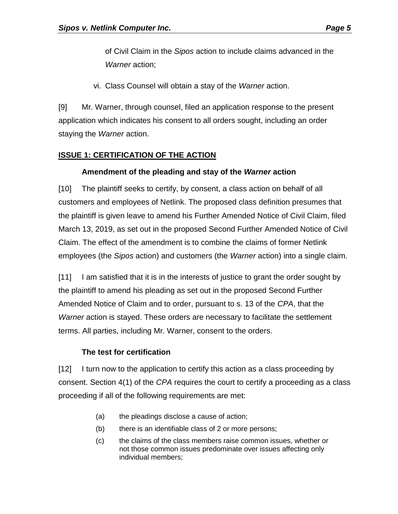of Civil Claim in the *Sipos* action to include claims advanced in the *Warner* action;

vi. Class Counsel will obtain a stay of the *Warner* action.

[9] Mr. Warner, through counsel, filed an application response to the present application which indicates his consent to all orders sought, including an order staying the *Warner* action.

#### **ISSUE 1: CERTIFICATION OF THE ACTION**

#### **Amendment of the pleading and stay of the** *Warner* **action**

[10] The plaintiff seeks to certify, by consent, a class action on behalf of all customers and employees of Netlink. The proposed class definition presumes that the plaintiff is given leave to amend his Further Amended Notice of Civil Claim, filed March 13, 2019, as set out in the proposed Second Further Amended Notice of Civil Claim. The effect of the amendment is to combine the claims of former Netlink employees (the *Sipos* action) and customers (the *Warner* action) into a single claim.

[11] I am satisfied that it is in the interests of justice to grant the order sought by the plaintiff to amend his pleading as set out in the proposed Second Further Amended Notice of Claim and to order, pursuant to s. 13 of the *CPA*, that the *Warner* action is stayed. These orders are necessary to facilitate the settlement terms. All parties, including Mr. Warner, consent to the orders.

#### **The test for certification**

[12] I turn now to the application to certify this action as a class proceeding by consent. Section 4(1) of the *CPA* requires the court to certify a proceeding as a class proceeding if all of the following requirements are met:

- (a) the pleadings disclose a cause of action;
- (b) there is an identifiable class of 2 or more persons;
- (c) the claims of the class members raise common issues, whether or not those common issues predominate over issues affecting only individual members;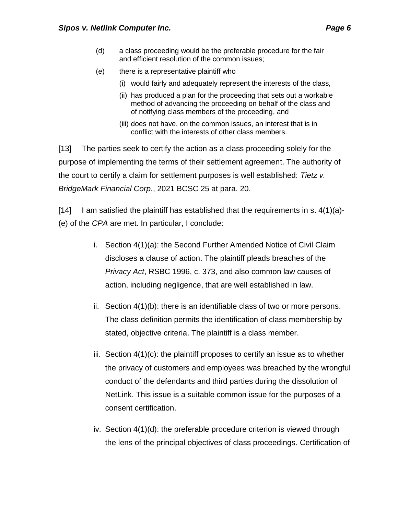- (d) a class proceeding would be the preferable procedure for the fair and efficient resolution of the common issues;
- (e) there is a representative plaintiff who
	- (i) would fairly and adequately represent the interests of the class,
	- (ii) has produced a plan for the proceeding that sets out a workable method of advancing the proceeding on behalf of the class and of notifying class members of the proceeding, and
	- (iii) does not have, on the common issues, an interest that is in conflict with the interests of other class members.

[13] The parties seek to certify the action as a class proceeding solely for the purpose of implementing the terms of their settlement agreement. The authority of the court to certify a claim for settlement purposes is well established: *Tietz v. BridgeMark Financial Corp.*, 2021 BCSC 25 at para. 20.

[14] I am satisfied the plaintiff has established that the requirements in s.  $4(1)(a)$ -(e) of the *CPA* are met. In particular, I conclude:

- i. Section 4(1)(a): the Second Further Amended Notice of Civil Claim discloses a clause of action. The plaintiff pleads breaches of the *Privacy Act*, RSBC 1996, c. 373, and also common law causes of action, including negligence, that are well established in law.
- ii. Section 4(1)(b): there is an identifiable class of two or more persons. The class definition permits the identification of class membership by stated, objective criteria. The plaintiff is a class member.
- iii. Section 4(1)(c): the plaintiff proposes to certify an issue as to whether the privacy of customers and employees was breached by the wrongful conduct of the defendants and third parties during the dissolution of NetLink. This issue is a suitable common issue for the purposes of a consent certification.
- iv. Section 4(1)(d): the preferable procedure criterion is viewed through the lens of the principal objectives of class proceedings. Certification of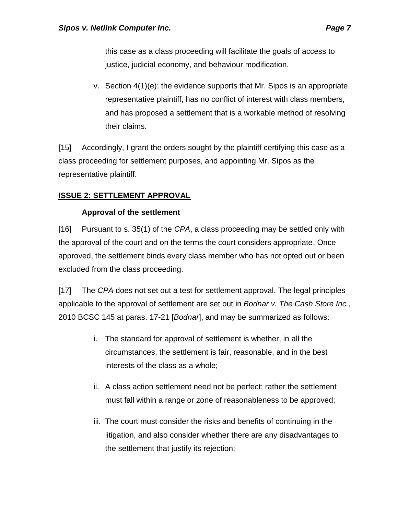this case as a class proceeding will facilitate the goals of access to justice, judicial economy, and behaviour modification.

v. Section  $4(1)(e)$ : the evidence supports that Mr. Sipos is an appropriate representative plaintiff, has no conflict of interest with class members, and has proposed a settlement that is a workable method of resolving their claims.

[15] Accordingly, I grant the orders sought by the plaintiff certifying this case as a class proceeding for settlement purposes, and appointing Mr. Sipos as the representative plaintiff.

#### **ISSUE 2: SETTLEMENT APPROVAL**

#### **Approval of the settlement**

[16] Pursuant to s. 35(1) of the *CPA*, a class proceeding may be settled only with the approval of the court and on the terms the court considers appropriate. Once approved, the settlement binds every class member who has not opted out or been excluded from the class proceeding.

[17] The *CPA* does not set out a test for settlement approval. The legal principles applicable to the approval of settlement are set out in *Bodnar v. The Cash Store Inc.*, 2010 BCSC 145 at paras. 17-21 [*Bodnar*], and may be summarized as follows:

- i. The standard for approval of settlement is whether, in all the circumstances, the settlement is fair, reasonable, and in the best interests of the class as a whole;
- ii. A class action settlement need not be perfect; rather the settlement must fall within a range or zone of reasonableness to be approved;
- iii. The court must consider the risks and benefits of continuing in the litigation, and also consider whether there are any disadvantages to the settlement that justify its rejection;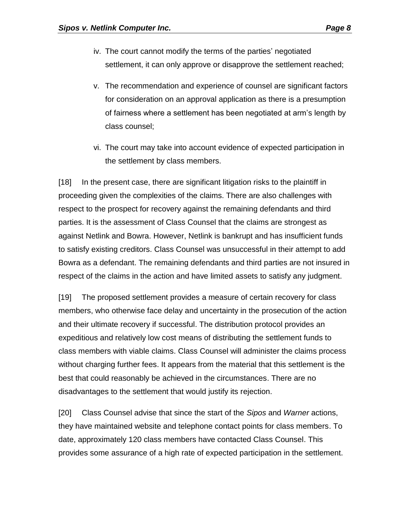- iv. The court cannot modify the terms of the parties' negotiated settlement, it can only approve or disapprove the settlement reached;
- v. The recommendation and experience of counsel are significant factors for consideration on an approval application as there is a presumption of fairness where a settlement has been negotiated at arm's length by class counsel;
- vi. The court may take into account evidence of expected participation in the settlement by class members.

[18] In the present case, there are significant litigation risks to the plaintiff in proceeding given the complexities of the claims. There are also challenges with respect to the prospect for recovery against the remaining defendants and third parties. It is the assessment of Class Counsel that the claims are strongest as against Netlink and Bowra. However, Netlink is bankrupt and has insufficient funds to satisfy existing creditors. Class Counsel was unsuccessful in their attempt to add Bowra as a defendant. The remaining defendants and third parties are not insured in respect of the claims in the action and have limited assets to satisfy any judgment.

[19] The proposed settlement provides a measure of certain recovery for class members, who otherwise face delay and uncertainty in the prosecution of the action and their ultimate recovery if successful. The distribution protocol provides an expeditious and relatively low cost means of distributing the settlement funds to class members with viable claims. Class Counsel will administer the claims process without charging further fees. It appears from the material that this settlement is the best that could reasonably be achieved in the circumstances. There are no disadvantages to the settlement that would justify its rejection.

[20] Class Counsel advise that since the start of the *Sipos* and *Warner* actions, they have maintained website and telephone contact points for class members. To date, approximately 120 class members have contacted Class Counsel. This provides some assurance of a high rate of expected participation in the settlement.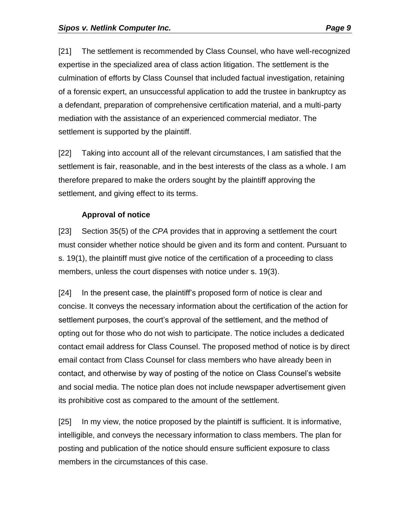[21] The settlement is recommended by Class Counsel, who have well-recognized expertise in the specialized area of class action litigation. The settlement is the culmination of efforts by Class Counsel that included factual investigation, retaining of a forensic expert, an unsuccessful application to add the trustee in bankruptcy as a defendant, preparation of comprehensive certification material, and a multi-party mediation with the assistance of an experienced commercial mediator. The settlement is supported by the plaintiff.

[22] Taking into account all of the relevant circumstances, I am satisfied that the settlement is fair, reasonable, and in the best interests of the class as a whole. I am therefore prepared to make the orders sought by the plaintiff approving the settlement, and giving effect to its terms.

### **Approval of notice**

[23] Section 35(5) of the *CPA* provides that in approving a settlement the court must consider whether notice should be given and its form and content. Pursuant to s. 19(1), the plaintiff must give notice of the certification of a proceeding to class members, unless the court dispenses with notice under s. 19(3).

[24] In the present case, the plaintiff's proposed form of notice is clear and concise. It conveys the necessary information about the certification of the action for settlement purposes, the court's approval of the settlement, and the method of opting out for those who do not wish to participate. The notice includes a dedicated contact email address for Class Counsel. The proposed method of notice is by direct email contact from Class Counsel for class members who have already been in contact, and otherwise by way of posting of the notice on Class Counsel's website and social media. The notice plan does not include newspaper advertisement given its prohibitive cost as compared to the amount of the settlement.

[25] In my view, the notice proposed by the plaintiff is sufficient. It is informative, intelligible, and conveys the necessary information to class members. The plan for posting and publication of the notice should ensure sufficient exposure to class members in the circumstances of this case.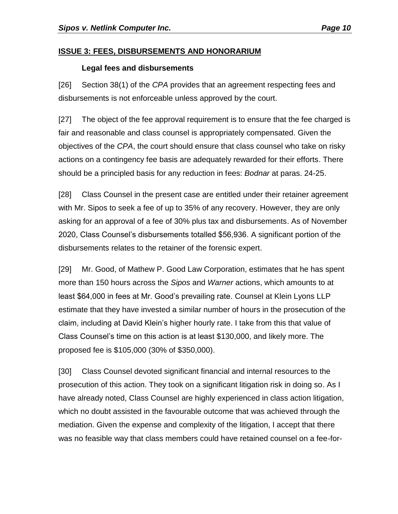#### **ISSUE 3: FEES, DISBURSEMENTS AND HONORARIUM**

#### **Legal fees and disbursements**

[26] Section 38(1) of the *CPA* provides that an agreement respecting fees and disbursements is not enforceable unless approved by the court.

[27] The object of the fee approval requirement is to ensure that the fee charged is fair and reasonable and class counsel is appropriately compensated. Given the objectives of the *CPA*, the court should ensure that class counsel who take on risky actions on a contingency fee basis are adequately rewarded for their efforts. There should be a principled basis for any reduction in fees: *Bodnar* at paras. 24-25.

[28] Class Counsel in the present case are entitled under their retainer agreement with Mr. Sipos to seek a fee of up to 35% of any recovery. However, they are only asking for an approval of a fee of 30% plus tax and disbursements. As of November 2020, Class Counsel's disbursements totalled \$56,936. A significant portion of the disbursements relates to the retainer of the forensic expert.

[29] Mr. Good, of Mathew P. Good Law Corporation, estimates that he has spent more than 150 hours across the *Sipos* and *Warner* actions, which amounts to at least \$64,000 in fees at Mr. Good's prevailing rate. Counsel at Klein Lyons LLP estimate that they have invested a similar number of hours in the prosecution of the claim, including at David Klein's higher hourly rate. I take from this that value of Class Counsel's time on this action is at least \$130,000, and likely more. The proposed fee is \$105,000 (30% of \$350,000).

[30] Class Counsel devoted significant financial and internal resources to the prosecution of this action. They took on a significant litigation risk in doing so. As I have already noted, Class Counsel are highly experienced in class action litigation, which no doubt assisted in the favourable outcome that was achieved through the mediation. Given the expense and complexity of the litigation, I accept that there was no feasible way that class members could have retained counsel on a fee-for-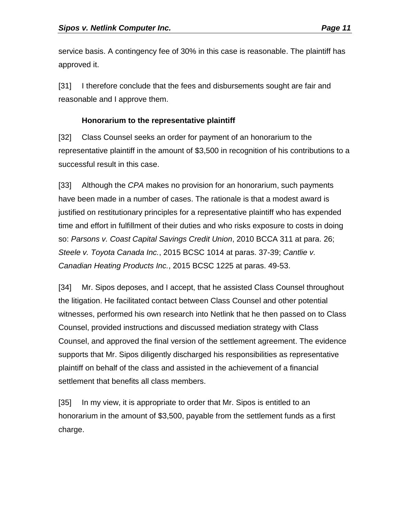service basis. A contingency fee of 30% in this case is reasonable. The plaintiff has approved it.

[31] I therefore conclude that the fees and disbursements sought are fair and reasonable and I approve them.

#### **Honorarium to the representative plaintiff**

[32] Class Counsel seeks an order for payment of an honorarium to the representative plaintiff in the amount of \$3,500 in recognition of his contributions to a successful result in this case.

[33] Although the *CPA* makes no provision for an honorarium, such payments have been made in a number of cases. The rationale is that a modest award is justified on restitutionary principles for a representative plaintiff who has expended time and effort in fulfillment of their duties and who risks exposure to costs in doing so: *Parsons v. Coast Capital Savings Credit Union*, 2010 BCCA 311 at para. 26; *Steele v. Toyota Canada Inc.*, 2015 BCSC 1014 at paras. 37-39; *Cantlie v. Canadian Heating Products Inc.*, 2015 BCSC 1225 at paras. 49-53.

[34] Mr. Sipos deposes, and I accept, that he assisted Class Counsel throughout the litigation. He facilitated contact between Class Counsel and other potential witnesses, performed his own research into Netlink that he then passed on to Class Counsel, provided instructions and discussed mediation strategy with Class Counsel, and approved the final version of the settlement agreement. The evidence supports that Mr. Sipos diligently discharged his responsibilities as representative plaintiff on behalf of the class and assisted in the achievement of a financial settlement that benefits all class members.

[35] In my view, it is appropriate to order that Mr. Sipos is entitled to an honorarium in the amount of \$3,500, payable from the settlement funds as a first charge.